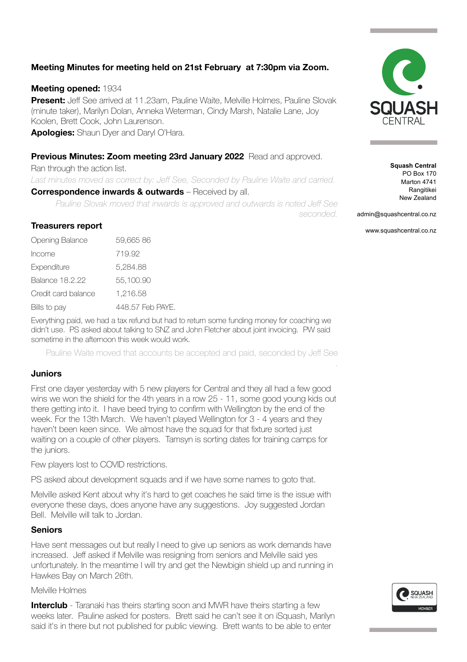# **Meeting Minutes for meeting held on 21st February at 7:30pm via Zoom.**

#### **Meeting opened:** 1934

**Present:** Jeff See arrived at 11.23am, Pauline Waite, Melville Holmes, Pauline Slovak (minute taker), Marilyn Dolan, Anneka Weterman, Cindy Marsh, Natalie Lane, Joy Koolen, Brett Cook, John Laurenson.

**Apologies:** Shaun Dyer and Daryl O'Hara.

#### **Previous Minutes: Zoom meeting 23rd January 2022** Read and approved.

Ran through the action list. Last minutes moved as correct by: Jeff See, Seconded by Pauline Waite and carried. **Correspondence inwards & outwards** – Received by all.

*Pauline Slovak moved that inwards is approved and outwards is noted Jeff See seconded.*

admin@squashcentral.co.nz

www.squashcentral.co.nz

.

#### **Treasurers report**

| Opening Balance     | 59,66586         |  |
|---------------------|------------------|--|
| Income              | 719.92           |  |
| Expenditure         | 5,284.88         |  |
| Balance 18.2.22     | 55,100.90        |  |
| Credit card balance | 1,216.58         |  |
| Bills to pay        | 448.57 Feb PAYE. |  |

Everything paid, we had a tax refund but had to return some funding money for coaching we didn't use. PS asked about talking to SNZ and John Fletcher about joint invoicing. PW said sometime in the afternoon this week would work.

Pauline Waite moved that accounts be accepted and paid, seconded by Jeff See

#### **Juniors**

First one dayer yesterday with 5 new players for Central and they all had a few good wins we won the shield for the 4th years in a row 25 - 11, some good young kids out there getting into it. I have beed trying to confirm with Wellington by the end of the week. For the 13th March. We haven't played Wellington for 3 - 4 years and they haven't been keen since. We almost have the squad for that fixture sorted just waiting on a couple of other players. Tamsyn is sorting dates for training camps for the juniors.

Few players lost to COVID restrictions.

PS asked about development squads and if we have some names to goto that.

Melville asked Kent about why it's hard to get coaches he said time is the issue with everyone these days, does anyone have any suggestions. Joy suggested Jordan Bell. Melville will talk to Jordan.

#### **Seniors**

Have sent messages out but really I need to give up seniors as work demands have increased. Jeff asked if Melville was resigning from seniors and Melville said yes unfortunately. In the meantime I will try and get the Newbigin shield up and running in Hawkes Bay on March 26th.

Melville Holmes

**Interclub** - Taranaki has theirs starting soon and MWR have theirs starting a few weeks later. Pauline asked for posters. Brett said he can't see it on iSquash, Marilyn said it's in there but not published for public viewing. Brett wants to be able to enter





**Squash Central** PO Box 170 Marton 4741 Rangitikei New Zealand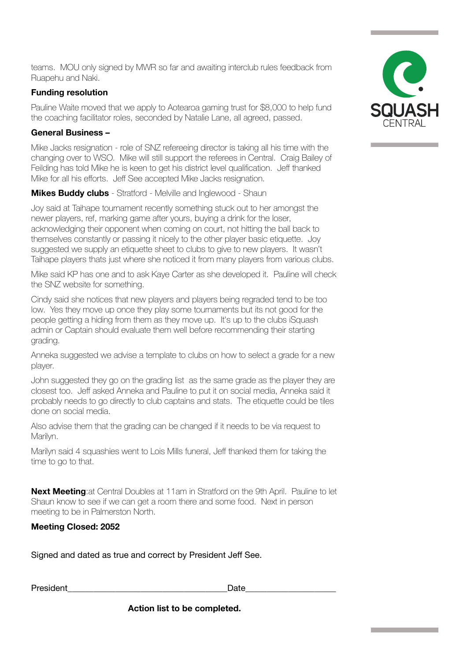**Action list to be completed.** 

teams. MOU only signed by MWR so far and awaiting interclub rules feedback from Ruapehu and Naki.

## **Funding resolution**

Pauline Waite moved that we apply to Aotearoa gaming trust for \$8,000 to help fund the coaching facilitator roles, seconded by Natalie Lane, all agreed, passed.

### **General Business –**

Mike Jacks resignation - role of SNZ refereeing director is taking all his time with the changing over to WSO. Mike will still support the referees in Central. Craig Bailey of Feilding has told Mike he is keen to get his district level qualification. Jeff thanked Mike for all his efforts. Jeff See accepted Mike Jacks resignation.

**Mikes Buddy clubs** - Stratford - Melville and Inglewood - Shaun

Joy said at Taihape tournament recently something stuck out to her amongst the newer players, ref, marking game after yours, buying a drink for the loser, acknowledging their opponent when coming on court, not hitting the ball back to themselves constantly or passing it nicely to the other player basic etiquette. Joy suggested we supply an etiquette sheet to clubs to give to new players. It wasn't Taihape players thats just where she noticed it from many players from various clubs.

Mike said KP has one and to ask Kaye Carter as she developed it. Pauline will check the SNZ website for something.

Cindy said she notices that new players and players being regraded tend to be too low. Yes they move up once they play some tournaments but its not good for the people getting a hiding from them as they move up. It's up to the clubs iSquash admin or Captain should evaluate them well before recommending their starting grading.

Anneka suggested we advise a template to clubs on how to select a grade for a new player.

John suggested they go on the grading list as the same grade as the player they are closest too. Jeff asked Anneka and Pauline to put it on social media, Anneka said it probably needs to go directly to club captains and stats. The etiquette could be tiles done on social media.

Also advise them that the grading can be changed if it needs to be via request to Marilyn.

Marilyn said 4 squashies went to Lois Mills funeral, Jeff thanked them for taking the time to go to that.

**Next Meeting:** at Central Doubles at 11am in Stratford on the 9th April. Pauline to let Shaun know to see if we can get a room there and some food. Next in person meeting to be in Palmerston North.

# **Meeting Closed: 2052**

Signed and dated as true and correct by President Jeff See.

President and the set of the set of the set of the set of the set of the set of the set of the set of the set o